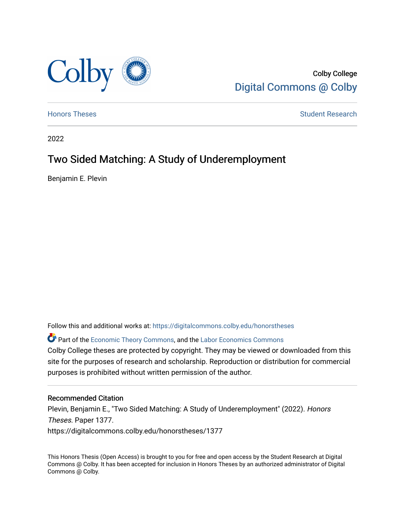

Colby College [Digital Commons @ Colby](https://digitalcommons.colby.edu/) 

[Honors Theses](https://digitalcommons.colby.edu/honorstheses) **Student Research** Student Research

2022

# Two Sided Matching: A Study of Underemployment

Benjamin E. Plevin

Follow this and additional works at: [https://digitalcommons.colby.edu/honorstheses](https://digitalcommons.colby.edu/honorstheses?utm_source=digitalcommons.colby.edu%2Fhonorstheses%2F1377&utm_medium=PDF&utm_campaign=PDFCoverPages) 

**P** Part of the [Economic Theory Commons](https://network.bepress.com/hgg/discipline/344?utm_source=digitalcommons.colby.edu%2Fhonorstheses%2F1377&utm_medium=PDF&utm_campaign=PDFCoverPages), and the [Labor Economics Commons](https://network.bepress.com/hgg/discipline/349?utm_source=digitalcommons.colby.edu%2Fhonorstheses%2F1377&utm_medium=PDF&utm_campaign=PDFCoverPages) Colby College theses are protected by copyright. They may be viewed or downloaded from this site for the purposes of research and scholarship. Reproduction or distribution for commercial purposes is prohibited without written permission of the author.

#### Recommended Citation

Plevin, Benjamin E., "Two Sided Matching: A Study of Underemployment" (2022). Honors Theses. Paper 1377. https://digitalcommons.colby.edu/honorstheses/1377

This Honors Thesis (Open Access) is brought to you for free and open access by the Student Research at Digital Commons @ Colby. It has been accepted for inclusion in Honors Theses by an authorized administrator of Digital Commons @ Colby.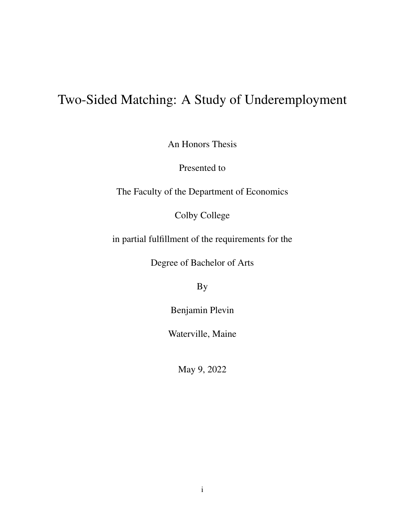# Two-Sided Matching: A Study of Underemployment

An Honors Thesis

Presented to

The Faculty of the Department of Economics

Colby College

in partial fulfillment of the requirements for the

Degree of Bachelor of Arts

By

Benjamin Plevin

Waterville, Maine

May 9, 2022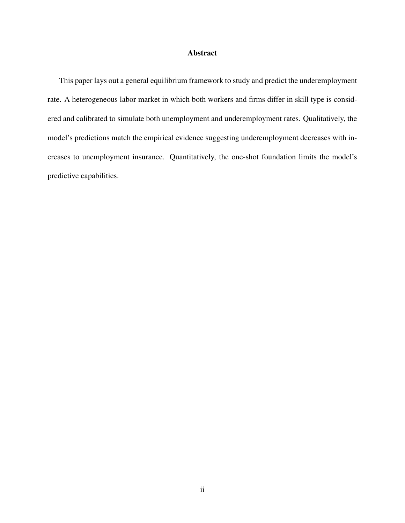#### Abstract

This paper lays out a general equilibrium framework to study and predict the underemployment rate. A heterogeneous labor market in which both workers and firms differ in skill type is considered and calibrated to simulate both unemployment and underemployment rates. Qualitatively, the model's predictions match the empirical evidence suggesting underemployment decreases with increases to unemployment insurance. Quantitatively, the one-shot foundation limits the model's predictive capabilities.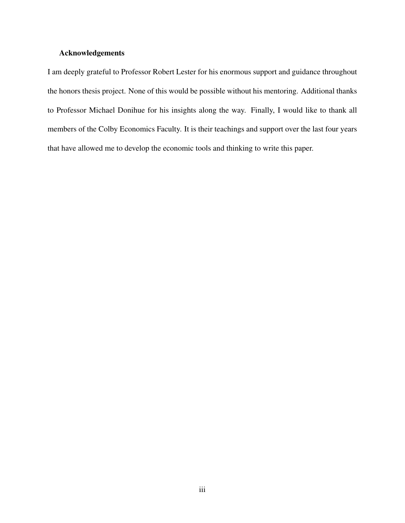#### Acknowledgements

I am deeply grateful to Professor Robert Lester for his enormous support and guidance throughout the honors thesis project. None of this would be possible without his mentoring. Additional thanks to Professor Michael Donihue for his insights along the way. Finally, I would like to thank all members of the Colby Economics Faculty. It is their teachings and support over the last four years that have allowed me to develop the economic tools and thinking to write this paper.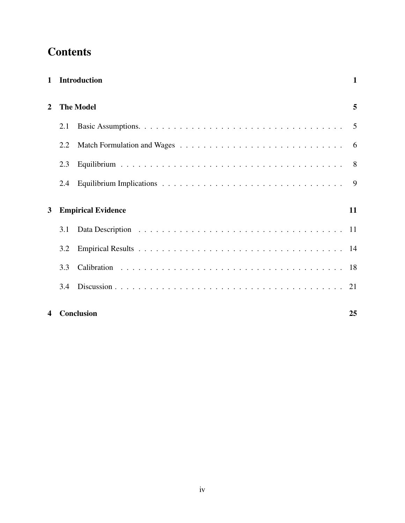# **Contents**

|                | 1 Introduction   |                           |    |  |  |  |
|----------------|------------------|---------------------------|----|--|--|--|
| $\overline{2}$ | <b>The Model</b> |                           |    |  |  |  |
|                | 2.1              |                           |    |  |  |  |
|                | 2.2              |                           |    |  |  |  |
|                | 2.3              |                           |    |  |  |  |
|                | 2.4              |                           |    |  |  |  |
| $\mathbf{3}$   |                  | <b>Empirical Evidence</b> | 11 |  |  |  |
|                | 3.1              |                           |    |  |  |  |
|                | 3.2              |                           |    |  |  |  |
|                | 3.3              |                           |    |  |  |  |
|                | 3.4              |                           |    |  |  |  |
| 4              |                  | Conclusion                | 25 |  |  |  |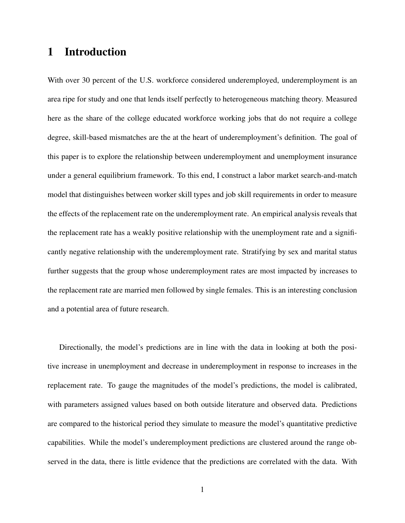# 1 Introduction

With over 30 percent of the U.S. workforce considered underemployed, underemployment is an area ripe for study and one that lends itself perfectly to heterogeneous matching theory. Measured here as the share of the college educated workforce working jobs that do not require a college degree, skill-based mismatches are the at the heart of underemployment's definition. The goal of this paper is to explore the relationship between underemployment and unemployment insurance under a general equilibrium framework. To this end, I construct a labor market search-and-match model that distinguishes between worker skill types and job skill requirements in order to measure the effects of the replacement rate on the underemployment rate. An empirical analysis reveals that the replacement rate has a weakly positive relationship with the unemployment rate and a significantly negative relationship with the underemployment rate. Stratifying by sex and marital status further suggests that the group whose underemployment rates are most impacted by increases to the replacement rate are married men followed by single females. This is an interesting conclusion and a potential area of future research.

Directionally, the model's predictions are in line with the data in looking at both the positive increase in unemployment and decrease in underemployment in response to increases in the replacement rate. To gauge the magnitudes of the model's predictions, the model is calibrated, with parameters assigned values based on both outside literature and observed data. Predictions are compared to the historical period they simulate to measure the model's quantitative predictive capabilities. While the model's underemployment predictions are clustered around the range observed in the data, there is little evidence that the predictions are correlated with the data. With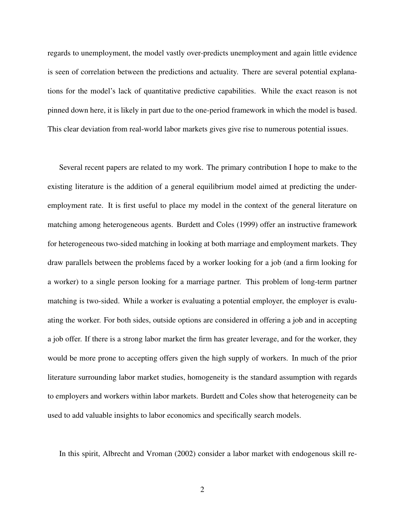regards to unemployment, the model vastly over-predicts unemployment and again little evidence is seen of correlation between the predictions and actuality. There are several potential explanations for the model's lack of quantitative predictive capabilities. While the exact reason is not pinned down here, it is likely in part due to the one-period framework in which the model is based. This clear deviation from real-world labor markets gives give rise to numerous potential issues.

Several recent papers are related to my work. The primary contribution I hope to make to the existing literature is the addition of a general equilibrium model aimed at predicting the underemployment rate. It is first useful to place my model in the context of the general literature on matching among heterogeneous agents. Burdett and Coles (1999) offer an instructive framework for heterogeneous two-sided matching in looking at both marriage and employment markets. They draw parallels between the problems faced by a worker looking for a job (and a firm looking for a worker) to a single person looking for a marriage partner. This problem of long-term partner matching is two-sided. While a worker is evaluating a potential employer, the employer is evaluating the worker. For both sides, outside options are considered in offering a job and in accepting a job offer. If there is a strong labor market the firm has greater leverage, and for the worker, they would be more prone to accepting offers given the high supply of workers. In much of the prior literature surrounding labor market studies, homogeneity is the standard assumption with regards to employers and workers within labor markets. Burdett and Coles show that heterogeneity can be used to add valuable insights to labor economics and specifically search models.

In this spirit, Albrecht and Vroman (2002) consider a labor market with endogenous skill re-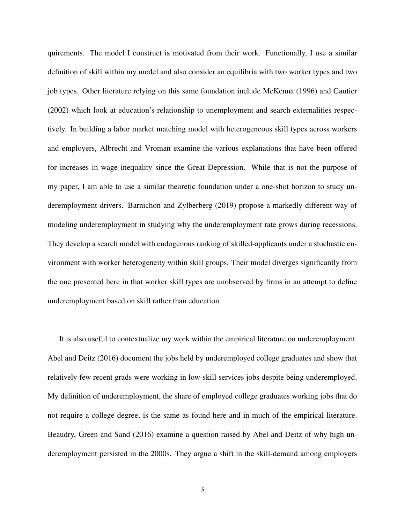quirements. The model I construct is motivated from their work. Functionally, I use a similar definition of skill within my model and also consider an equilibria with two worker types and two job types. Other literature relying on this same foundation include McKenna (1996) and Gautier (2002) which look at education's relationship to unemployment and search externalities respectively. In building a labor market matching model with heterogeneous skill types across workers and employers, Albrecht and Vroman examine the various explanations that have been offered for increases in wage inequality since the Great Depression. While that is not the purpose of my paper, I am able to use a similar theoretic foundation under a one-shot horizon to study underemployment drivers. Barnichon and Zylberberg (2019) propose a markedly different way of modeling underemployment in studying why the underemployment rate grows during recessions. They develop a search model with endogenous ranking of skilled-applicants under a stochastic environment with worker heterogeneity within skill groups. Their model diverges significantly from the one presented here in that worker skill types are unobserved by firms in an attempt to define underemployment based on skill rather than education.

It is also useful to contextualize my work within the empirical literature on underemployment. Abel and Deitz (2016) document the jobs held by underemployed college graduates and show that relatively few recent grads were working in low-skill services jobs despite being underemployed. My definition of underemployment, the share of employed college graduates working jobs that do not require a college degree, is the same as found here and in much of the empirical literature. Beaudry, Green and Sand (2016) examine a question raised by Abel and Deitz of why high underemployment persisted in the 2000s. They argue a shift in the skill-demand among employers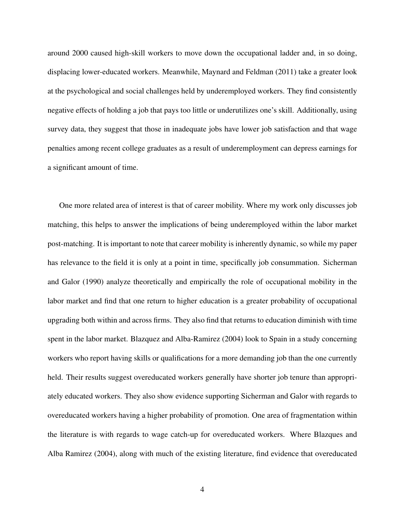around 2000 caused high-skill workers to move down the occupational ladder and, in so doing, displacing lower-educated workers. Meanwhile, Maynard and Feldman (2011) take a greater look at the psychological and social challenges held by underemployed workers. They find consistently negative effects of holding a job that pays too little or underutilizes one's skill. Additionally, using survey data, they suggest that those in inadequate jobs have lower job satisfaction and that wage penalties among recent college graduates as a result of underemployment can depress earnings for a significant amount of time.

One more related area of interest is that of career mobility. Where my work only discusses job matching, this helps to answer the implications of being underemployed within the labor market post-matching. It is important to note that career mobility is inherently dynamic, so while my paper has relevance to the field it is only at a point in time, specifically job consummation. Sicherman and Galor (1990) analyze theoretically and empirically the role of occupational mobility in the labor market and find that one return to higher education is a greater probability of occupational upgrading both within and across firms. They also find that returns to education diminish with time spent in the labor market. Blazquez and Alba-Ramirez (2004) look to Spain in a study concerning workers who report having skills or qualifications for a more demanding job than the one currently held. Their results suggest overeducated workers generally have shorter job tenure than appropriately educated workers. They also show evidence supporting Sicherman and Galor with regards to overeducated workers having a higher probability of promotion. One area of fragmentation within the literature is with regards to wage catch-up for overeducated workers. Where Blazques and Alba Ramirez (2004), along with much of the existing literature, find evidence that overeducated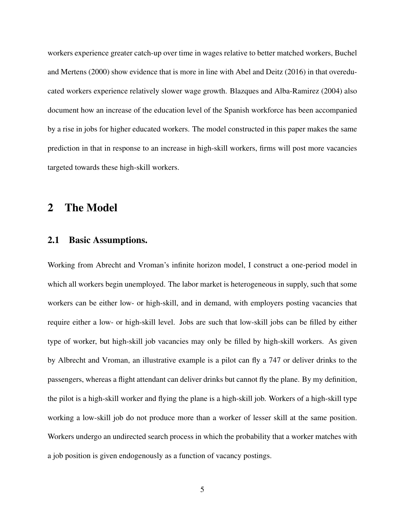workers experience greater catch-up over time in wages relative to better matched workers, Buchel and Mertens (2000) show evidence that is more in line with Abel and Deitz (2016) in that overeducated workers experience relatively slower wage growth. Blazques and Alba-Ramirez (2004) also document how an increase of the education level of the Spanish workforce has been accompanied by a rise in jobs for higher educated workers. The model constructed in this paper makes the same prediction in that in response to an increase in high-skill workers, firms will post more vacancies targeted towards these high-skill workers.

# 2 The Model

### 2.1 Basic Assumptions.

Working from Abrecht and Vroman's infinite horizon model, I construct a one-period model in which all workers begin unemployed. The labor market is heterogeneous in supply, such that some workers can be either low- or high-skill, and in demand, with employers posting vacancies that require either a low- or high-skill level. Jobs are such that low-skill jobs can be filled by either type of worker, but high-skill job vacancies may only be filled by high-skill workers. As given by Albrecht and Vroman, an illustrative example is a pilot can fly a 747 or deliver drinks to the passengers, whereas a flight attendant can deliver drinks but cannot fly the plane. By my definition, the pilot is a high-skill worker and flying the plane is a high-skill job. Workers of a high-skill type working a low-skill job do not produce more than a worker of lesser skill at the same position. Workers undergo an undirected search process in which the probability that a worker matches with a job position is given endogenously as a function of vacancy postings.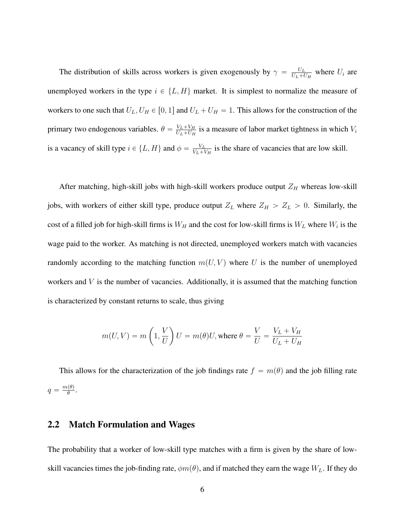The distribution of skills across workers is given exogenously by  $\gamma = \frac{U_L}{U_L + I}$  $\frac{U_L}{U_L + U_H}$  where  $U_i$  are unemployed workers in the type  $i \in \{L, H\}$  market. It is simplest to normalize the measure of workers to one such that  $U_L$ ,  $U_H \in [0, 1]$  and  $U_L + U_H = 1$ . This allows for the construction of the primary two endogenous variables.  $\theta = \frac{V_L + V_H}{U_L + U_H}$  $\frac{V_L + V_H}{U_L + U_H}$  is a measure of labor market tightness in which  $V_i$ is a vacancy of skill type  $i \in \{L, H\}$  and  $\phi = \frac{V_L}{V_L + V_L}$  $\frac{V_L}{V_L + V_H}$  is the share of vacancies that are low skill.

After matching, high-skill jobs with high-skill workers produce output  $Z_H$  whereas low-skill jobs, with workers of either skill type, produce output  $Z_L$  where  $Z_H > Z_L > 0$ . Similarly, the cost of a filled job for high-skill firms is  $W_H$  and the cost for low-skill firms is  $W_L$  where  $W_i$  is the wage paid to the worker. As matching is not directed, unemployed workers match with vacancies randomly according to the matching function  $m(U, V)$  where U is the number of unemployed workers and  $V$  is the number of vacancies. Additionally, it is assumed that the matching function is characterized by constant returns to scale, thus giving

$$
m(U, V) = m\left(1, \frac{V}{U}\right)U = m(\theta)U, \text{ where } \theta = \frac{V}{U} = \frac{V_L + V_H}{U_L + U_H}
$$

This allows for the characterization of the job findings rate  $f = m(\theta)$  and the job filling rate  $q = \frac{m(\theta)}{\theta}$  $\frac{\theta}{\theta}$ .

#### 2.2 Match Formulation and Wages

The probability that a worker of low-skill type matches with a firm is given by the share of lowskill vacancies times the job-finding rate,  $\phi m(\theta)$ , and if matched they earn the wage  $W_L$ . If they do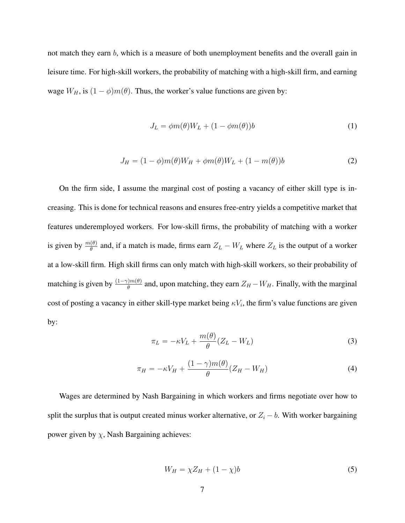not match they earn b, which is a measure of both unemployment benefits and the overall gain in leisure time. For high-skill workers, the probability of matching with a high-skill firm, and earning wage  $W_H$ , is  $(1 - \phi)m(\theta)$ . Thus, the worker's value functions are given by:

$$
J_L = \phi m(\theta) W_L + (1 - \phi m(\theta)) b \tag{1}
$$

$$
J_H = (1 - \phi)m(\theta)W_H + \phi m(\theta)W_L + (1 - m(\theta))b \tag{2}
$$

On the firm side, I assume the marginal cost of posting a vacancy of either skill type is increasing. This is done for technical reasons and ensures free-entry yields a competitive market that features underemployed workers. For low-skill firms, the probability of matching with a worker is given by  $\frac{m(\theta)}{\theta}$  and, if a match is made, firms earn  $Z_L - W_L$  where  $Z_L$  is the output of a worker at a low-skill firm. High skill firms can only match with high-skill workers, so their probability of matching is given by  $\frac{(1-\gamma)m(\theta)}{\theta}$  and, upon matching, they earn  $Z_H - W_H$ . Finally, with the marginal cost of posting a vacancy in either skill-type market being  $\kappa V_i$ , the firm's value functions are given by:

$$
\pi_L = -\kappa V_L + \frac{m(\theta)}{\theta} (Z_L - W_L)
$$
\n(3)

$$
\pi_H = -\kappa V_H + \frac{(1-\gamma)m(\theta)}{\theta}(Z_H - W_H) \tag{4}
$$

Wages are determined by Nash Bargaining in which workers and firms negotiate over how to split the surplus that is output created minus worker alternative, or  $Z_i - b$ . With worker bargaining power given by  $\chi$ , Nash Bargaining achieves:

$$
W_H = \chi Z_H + (1 - \chi)b \tag{5}
$$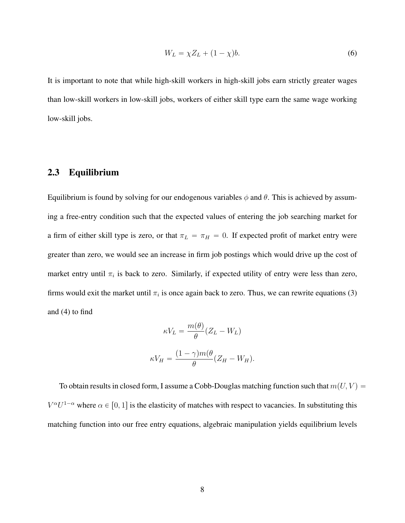$$
W_L = \chi Z_L + (1 - \chi)b. \tag{6}
$$

It is important to note that while high-skill workers in high-skill jobs earn strictly greater wages than low-skill workers in low-skill jobs, workers of either skill type earn the same wage working low-skill jobs.

### 2.3 Equilibrium

Equilibrium is found by solving for our endogenous variables  $\phi$  and  $\theta$ . This is achieved by assuming a free-entry condition such that the expected values of entering the job searching market for a firm of either skill type is zero, or that  $\pi_L = \pi_H = 0$ . If expected profit of market entry were greater than zero, we would see an increase in firm job postings which would drive up the cost of market entry until  $\pi_i$  is back to zero. Similarly, if expected utility of entry were less than zero, firms would exit the market until  $\pi_i$  is once again back to zero. Thus, we can rewrite equations (3) and (4) to find

$$
\kappa V_L = \frac{m(\theta)}{\theta} (Z_L - W_L)
$$

$$
\kappa V_H = \frac{(1 - \gamma)m(\theta)}{\theta} (Z_H - W_H).
$$

To obtain results in closed form, I assume a Cobb-Douglas matching function such that  $m(U, V)$  =  $V^{\alpha}U^{1-\alpha}$  where  $\alpha \in [0, 1]$  is the elasticity of matches with respect to vacancies. In substituting this matching function into our free entry equations, algebraic manipulation yields equilibrium levels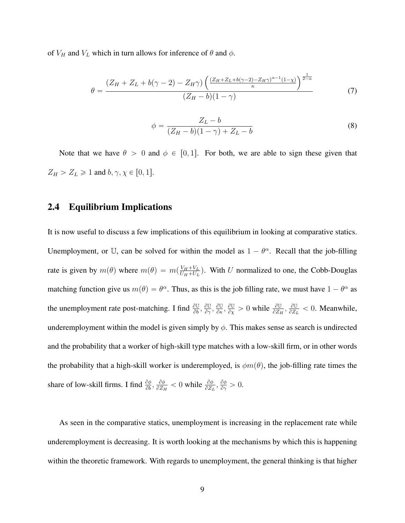of  $V_H$  and  $V_L$  which in turn allows for inference of  $\theta$  and  $\phi$ .

$$
\theta = \frac{(Z_H + Z_L + b(\gamma - 2) - Z_H \gamma) \left( \frac{(Z_H + Z_L + b(\gamma - 2) - Z_H \gamma)^{\alpha - 1} (1 - \chi)}{\kappa} \right)^{\frac{1}{2 - \alpha}}}{(Z_H - b)(1 - \gamma)}
$$
(7)

$$
\phi = \frac{Z_L - b}{(Z_H - b)(1 - \gamma) + Z_L - b}
$$
\n(8)

Note that we have  $\theta > 0$  and  $\phi \in [0, 1]$ . For both, we are able to sign these given that  $Z_H > Z_L \geq 1$  and  $b, \gamma, \chi \in [0, 1].$ 

### 2.4 Equilibrium Implications

It is now useful to discuss a few implications of this equilibrium in looking at comparative statics. Unemployment, or U, can be solved for within the model as  $1 - \theta^{\alpha}$ . Recall that the job-filling rate is given by  $m(\theta)$  where  $m(\theta) = m(\frac{V_H + V_L}{U_H + U_L})$  $\frac{V_H + V_L}{U_H + U_L}$ ). With U normalized to one, the Cobb-Douglas matching function give us  $m(\theta) = \theta^{\alpha}$ . Thus, as this is the job filling rate, we must have  $1 - \theta^{\alpha}$  as the unemployment rate post-matching. I find  $\frac{\partial U}{\partial b}$ ,  $\frac{\partial U}{\partial \gamma}$  $\frac{\partial \mathbb{U}}{\partial \gamma}, \frac{\partial \mathbb{U}}{\partial \kappa}$  $\frac{\partial \mathbb{U}}{\partial \kappa}, \frac{\partial \mathbb{U}}{\partial \chi}$  $\frac{\partial \mathbb{U}}{\partial x} > 0$  while  $\frac{\partial \mathbb{U}}{\partial Z_H}, \frac{\partial \mathbb{U}}{\partial Z_H}$  $\frac{\partial U}{\partial Z_L}$  < 0. Meanwhile, underemployment within the model is given simply by  $\phi$ . This makes sense as search is undirected and the probability that a worker of high-skill type matches with a low-skill firm, or in other words the probability that a high-skill worker is underemployed, is  $\phi m(\theta)$ , the job-filling rate times the share of low-skill firms. I find  $\frac{\partial \phi}{\partial b}$ ,  $\frac{\partial \phi}{\partial Z_I}$  $\frac{\partial \phi}{\partial Z_H} < 0$  while  $\frac{\partial \phi}{\partial Z_L}, \frac{\partial \phi}{\partial \gamma}$  $\frac{\partial \phi}{\partial \gamma}>0.$ 

As seen in the comparative statics, unemployment is increasing in the replacement rate while underemployment is decreasing. It is worth looking at the mechanisms by which this is happening within the theoretic framework. With regards to unemployment, the general thinking is that higher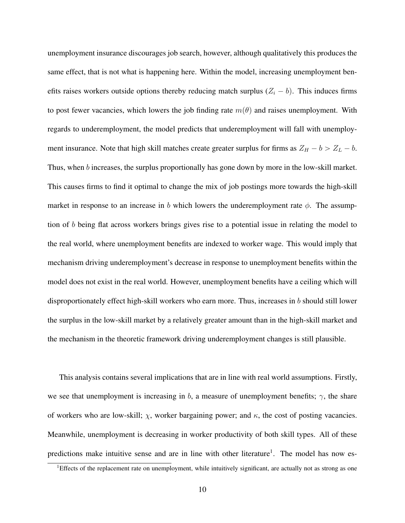unemployment insurance discourages job search, however, although qualitatively this produces the same effect, that is not what is happening here. Within the model, increasing unemployment benefits raises workers outside options thereby reducing match surplus  $(Z<sub>i</sub> - b)$ . This induces firms to post fewer vacancies, which lowers the job finding rate  $m(\theta)$  and raises unemployment. With regards to underemployment, the model predicts that underemployment will fall with unemployment insurance. Note that high skill matches create greater surplus for firms as  $Z_H - b > Z_L - b$ . Thus, when b increases, the surplus proportionally has gone down by more in the low-skill market. This causes firms to find it optimal to change the mix of job postings more towards the high-skill market in response to an increase in b which lowers the underemployment rate  $\phi$ . The assumption of b being flat across workers brings gives rise to a potential issue in relating the model to the real world, where unemployment benefits are indexed to worker wage. This would imply that mechanism driving underemployment's decrease in response to unemployment benefits within the model does not exist in the real world. However, unemployment benefits have a ceiling which will disproportionately effect high-skill workers who earn more. Thus, increases in b should still lower the surplus in the low-skill market by a relatively greater amount than in the high-skill market and the mechanism in the theoretic framework driving underemployment changes is still plausible.

This analysis contains several implications that are in line with real world assumptions. Firstly, we see that unemployment is increasing in b, a measure of unemployment benefits;  $\gamma$ , the share of workers who are low-skill;  $\chi$ , worker bargaining power; and  $\kappa$ , the cost of posting vacancies. Meanwhile, unemployment is decreasing in worker productivity of both skill types. All of these predictions make intuitive sense and are in line with other literature<sup>1</sup>. The model has now es-

 ${}^{1}$ Effects of the replacement rate on unemployment, while intuitively significant, are actually not as strong as one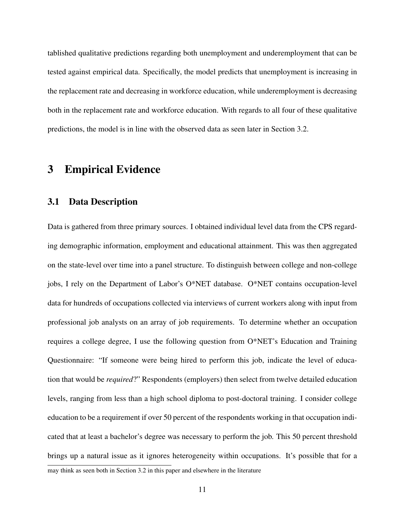tablished qualitative predictions regarding both unemployment and underemployment that can be tested against empirical data. Specifically, the model predicts that unemployment is increasing in the replacement rate and decreasing in workforce education, while underemployment is decreasing both in the replacement rate and workforce education. With regards to all four of these qualitative predictions, the model is in line with the observed data as seen later in Section 3.2.

# 3 Empirical Evidence

### 3.1 Data Description

Data is gathered from three primary sources. I obtained individual level data from the CPS regarding demographic information, employment and educational attainment. This was then aggregated on the state-level over time into a panel structure. To distinguish between college and non-college jobs, I rely on the Department of Labor's O\*NET database. O\*NET contains occupation-level data for hundreds of occupations collected via interviews of current workers along with input from professional job analysts on an array of job requirements. To determine whether an occupation requires a college degree, I use the following question from O\*NET's Education and Training Questionnaire: "If someone were being hired to perform this job, indicate the level of education that would be *required*?" Respondents (employers) then select from twelve detailed education levels, ranging from less than a high school diploma to post-doctoral training. I consider college education to be a requirement if over 50 percent of the respondents working in that occupation indicated that at least a bachelor's degree was necessary to perform the job. This 50 percent threshold brings up a natural issue as it ignores heterogeneity within occupations. It's possible that for a may think as seen both in Section 3.2 in this paper and elsewhere in the literature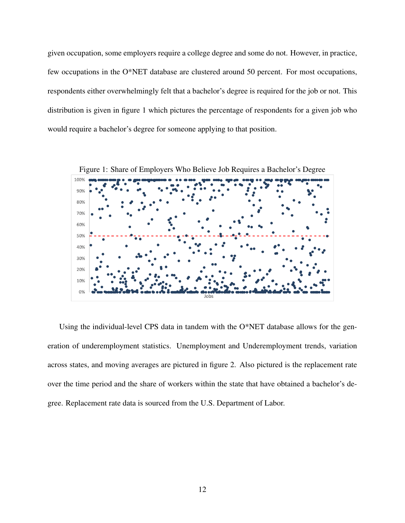given occupation, some employers require a college degree and some do not. However, in practice, few occupations in the O\*NET database are clustered around 50 percent. For most occupations, respondents either overwhelmingly felt that a bachelor's degree is required for the job or not. This distribution is given in figure 1 which pictures the percentage of respondents for a given job who would require a bachelor's degree for someone applying to that position.



Using the individual-level CPS data in tandem with the O\*NET database allows for the generation of underemployment statistics. Unemployment and Underemployment trends, variation across states, and moving averages are pictured in figure 2. Also pictured is the replacement rate over the time period and the share of workers within the state that have obtained a bachelor's degree. Replacement rate data is sourced from the U.S. Department of Labor.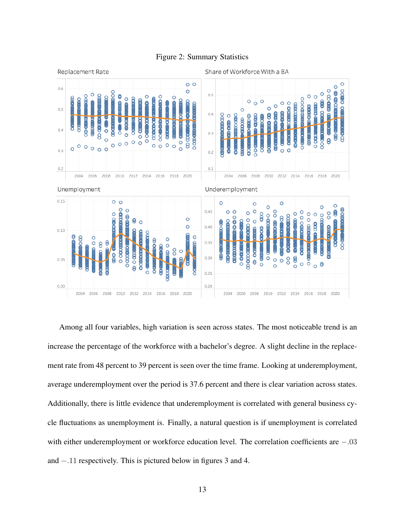

#### Figure 2: Summary Statistics

Among all four variables, high variation is seen across states. The most noticeable trend is an increase the percentage of the workforce with a bachelor's degree. A slight decline in the replacement rate from 48 percent to 39 percent is seen over the time frame. Looking at underemployment, average underemployment over the period is 37.6 percent and there is clear variation across states. Additionally, there is little evidence that underemployment is correlated with general business cycle fluctuations as unemployment is. Finally, a natural question is if unemployment is correlated with either underemployment or workforce education level. The correlation coefficients are  $-.03$ and  $-.11$  respectively. This is pictured below in figures 3 and 4.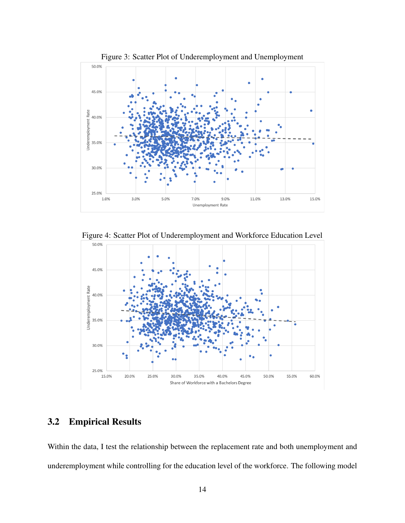

Figure 4: Scatter Plot of Underemployment and Workforce Education Level



### 3.2 Empirical Results

Within the data, I test the relationship between the replacement rate and both unemployment and underemployment while controlling for the education level of the workforce. The following model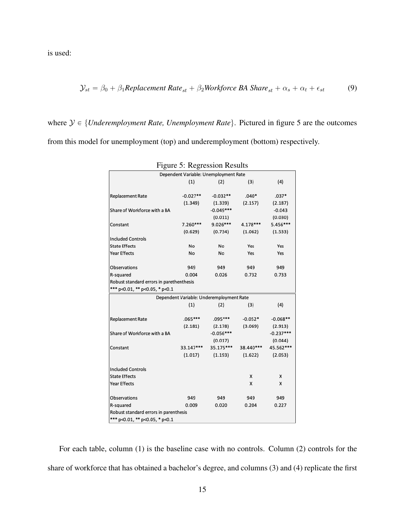is used:

$$
\mathcal{Y}_{st} = \beta_0 + \beta_1 \text{Replacement Rate}_{st} + \beta_2 \text{Workforce BA share}_{st} + \alpha_s + \alpha_t + \epsilon_{st}
$$
(9)

where  $\mathcal{Y} \in \{Underemployment Rate, Unemployment Rate\}$ . Pictured in figure 5 are the outcomes from this model for unemployment (top) and underemployment (bottom) respectively.

|                                          | ັ          |             |           |             |  |  |  |
|------------------------------------------|------------|-------------|-----------|-------------|--|--|--|
| Dependent Variable: Unemployment Rate    |            |             |           |             |  |  |  |
|                                          | (1)        | (2)         | (3)       | (4)         |  |  |  |
|                                          |            |             |           |             |  |  |  |
| <b>Replacement Rate</b>                  | $-0.027**$ | $-0.032**$  | $.040*$   | $.037*$     |  |  |  |
|                                          | (1.349)    | (1.339)     | (2.157)   | (2.187)     |  |  |  |
| Share of Workforce with a BA             |            | $-0.049***$ |           | $-0.043$    |  |  |  |
|                                          |            | (0.011)     |           | (0.030)     |  |  |  |
| Constant                                 | 7.260***   | $9.026***$  | 4.178***  | 5.456***    |  |  |  |
|                                          | (0.629)    | (0.734)     | (1.062)   | (1.533)     |  |  |  |
| <b>Included Controls</b>                 |            |             |           |             |  |  |  |
| <b>State Effects</b>                     | No         | No          | Yes       | Yes         |  |  |  |
| <b>Year Effects</b>                      | No         | No          | Yes       | Yes         |  |  |  |
|                                          |            |             |           |             |  |  |  |
| Observations                             | 949        | 949         | 949       | 949         |  |  |  |
| R-squared                                | 0.004      | 0.026       | 0.732     | 0.733       |  |  |  |
| Robust standard errors in parethenthesis |            |             |           |             |  |  |  |
| *** p<0.01, ** p<0.05, * p<0.1           |            |             |           |             |  |  |  |
| Dependent Variable: Underemployment Rate |            |             |           |             |  |  |  |
|                                          | (1)        | (2)         | (3)       | (4)         |  |  |  |
|                                          |            |             |           |             |  |  |  |
| <b>Replacement Rate</b>                  | $.065***$  | .095 ***    | $-0.052*$ | $-0.068**$  |  |  |  |
|                                          | (2.181)    | (2.178)     | (3.069)   | (2.913)     |  |  |  |
| Share of Workforce with a BA             |            | $-0.056***$ |           | $-0.237***$ |  |  |  |
|                                          |            | (0.017)     |           | (0.044)     |  |  |  |
| Constant                                 | 33.147***  | 35.175***   | 38.440*** | 45.562***   |  |  |  |
|                                          | (1.017)    | (1.193)     | (1.622)   | (2.053)     |  |  |  |
|                                          |            |             |           |             |  |  |  |
| <b>Included Controls</b>                 |            |             |           |             |  |  |  |
| <b>State Effects</b>                     |            |             | x         | x           |  |  |  |
| <b>Year Effects</b>                      |            |             | X         | X           |  |  |  |
|                                          |            |             |           |             |  |  |  |
| Observations                             | 949        | 949         | 949       | 949         |  |  |  |
| R-squared                                | 0.009      | 0.020       | 0.204     | 0.227       |  |  |  |
| Robust standard errors in parenthesis    |            |             |           |             |  |  |  |
| *** p<0.01. ** p<0.05. * p<0.1           |            |             |           |             |  |  |  |

Figure 5: Regression Results

For each table, column (1) is the baseline case with no controls. Column (2) controls for the share of workforce that has obtained a bachelor's degree, and columns (3) and (4) replicate the first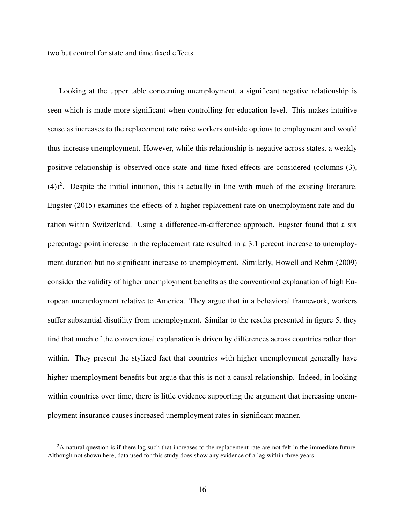two but control for state and time fixed effects.

Looking at the upper table concerning unemployment, a significant negative relationship is seen which is made more significant when controlling for education level. This makes intuitive sense as increases to the replacement rate raise workers outside options to employment and would thus increase unemployment. However, while this relationship is negative across states, a weakly positive relationship is observed once state and time fixed effects are considered (columns (3),  $(4)$ <sup>2</sup>. Despite the initial intuition, this is actually in line with much of the existing literature. Eugster (2015) examines the effects of a higher replacement rate on unemployment rate and duration within Switzerland. Using a difference-in-difference approach, Eugster found that a six percentage point increase in the replacement rate resulted in a 3.1 percent increase to unemployment duration but no significant increase to unemployment. Similarly, Howell and Rehm (2009) consider the validity of higher unemployment benefits as the conventional explanation of high European unemployment relative to America. They argue that in a behavioral framework, workers suffer substantial disutility from unemployment. Similar to the results presented in figure 5, they find that much of the conventional explanation is driven by differences across countries rather than within. They present the stylized fact that countries with higher unemployment generally have higher unemployment benefits but argue that this is not a causal relationship. Indeed, in looking within countries over time, there is little evidence supporting the argument that increasing unemployment insurance causes increased unemployment rates in significant manner.

<sup>&</sup>lt;sup>2</sup>A natural question is if there lag such that increases to the replacement rate are not felt in the immediate future. Although not shown here, data used for this study does show any evidence of a lag within three years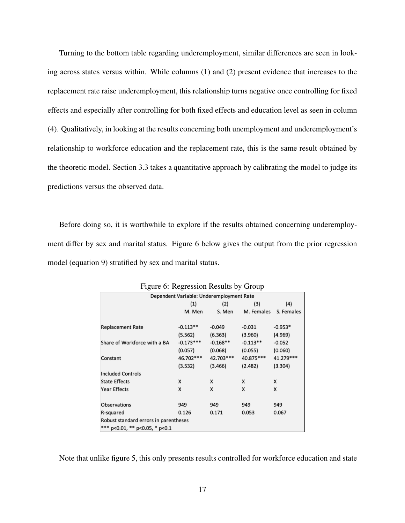Turning to the bottom table regarding underemployment, similar differences are seen in looking across states versus within. While columns (1) and (2) present evidence that increases to the replacement rate raise underemployment, this relationship turns negative once controlling for fixed effects and especially after controlling for both fixed effects and education level as seen in column (4). Qualitatively, in looking at the results concerning both unemployment and underemployment's relationship to workforce education and the replacement rate, this is the same result obtained by the theoretic model. Section 3.3 takes a quantitative approach by calibrating the model to judge its predictions versus the observed data.

Before doing so, it is worthwhile to explore if the results obtained concerning underemployment differ by sex and marital status. Figure 6 below gives the output from the prior regression model (equation 9) stratified by sex and marital status.

| Figure 6: Regression Results by Group    |             |            |            |            |  |  |
|------------------------------------------|-------------|------------|------------|------------|--|--|
| Dependent Variable: Underemployment Rate |             |            |            |            |  |  |
|                                          | (1)         | (2)        | (3)        | (4)        |  |  |
|                                          | M. Men      | S. Men     | M. Females | S. Females |  |  |
|                                          |             |            |            |            |  |  |
| <b>Replacement Rate</b>                  | $-0.113**$  | $-0.049$   | $-0.031$   | $-0.953*$  |  |  |
|                                          | (5.562)     | (6.363)    | (3.960)    | (4.969)    |  |  |
| Share of Workforce with a BA             | $-0.173***$ | $-0.168**$ | $-0.113**$ | $-0.052$   |  |  |
|                                          | (0.057)     | (0.068)    | (0.055)    | (0.060)    |  |  |
| Constant                                 | 46.702 ***  | 42.703***  | 40.875***  | 41.279 *** |  |  |
|                                          | (3.532)     | (3.466)    | (2.482)    | (3.304)    |  |  |
| <b>Included Controls</b>                 |             |            |            |            |  |  |
| <b>State Effects</b>                     | x           | x          | x          | x          |  |  |
| <b>Year Effects</b>                      | x           | x          | x          | x          |  |  |
| Observations                             | 949         | 949        | 949        | 949        |  |  |
|                                          |             |            |            |            |  |  |
| R-squared                                | 0.126       | 0.171      | 0.053      | 0.067      |  |  |
| Robust standard errors in parentheses    |             |            |            |            |  |  |
| *** p<0.01, ** p<0.05, * p<0.1           |             |            |            |            |  |  |

|  | Figure 6: Regression Results by Group |  |  |
|--|---------------------------------------|--|--|
|  |                                       |  |  |

Note that unlike figure 5, this only presents results controlled for workforce education and state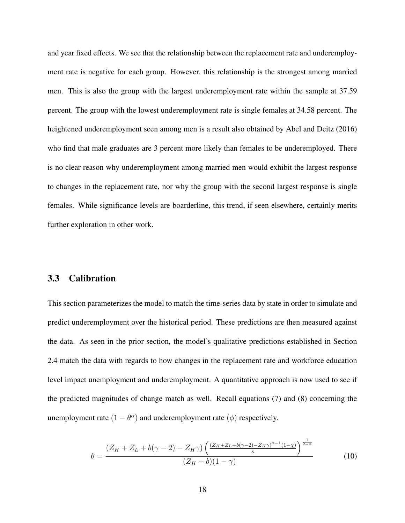and year fixed effects. We see that the relationship between the replacement rate and underemployment rate is negative for each group. However, this relationship is the strongest among married men. This is also the group with the largest underemployment rate within the sample at 37.59 percent. The group with the lowest underemployment rate is single females at 34.58 percent. The heightened underemployment seen among men is a result also obtained by Abel and Deitz (2016) who find that male graduates are 3 percent more likely than females to be underemployed. There is no clear reason why underemployment among married men would exhibit the largest response to changes in the replacement rate, nor why the group with the second largest response is single females. While significance levels are boarderline, this trend, if seen elsewhere, certainly merits further exploration in other work.

#### 3.3 Calibration

This section parameterizes the model to match the time-series data by state in order to simulate and predict underemployment over the historical period. These predictions are then measured against the data. As seen in the prior section, the model's qualitative predictions established in Section 2.4 match the data with regards to how changes in the replacement rate and workforce education level impact unemployment and underemployment. A quantitative approach is now used to see if the predicted magnitudes of change match as well. Recall equations (7) and (8) concerning the unemployment rate  $(1 - \theta^{\alpha})$  and underemployment rate  $(\phi)$  respectively.

$$
\theta = \frac{(Z_H + Z_L + b(\gamma - 2) - Z_H \gamma) \left( \frac{(Z_H + Z_L + b(\gamma - 2) - Z_H \gamma)^{\alpha - 1} (1 - \chi)}{\kappa} \right)^{\frac{1}{2 - \alpha}}}{(Z_H - b)(1 - \gamma)}
$$
(10)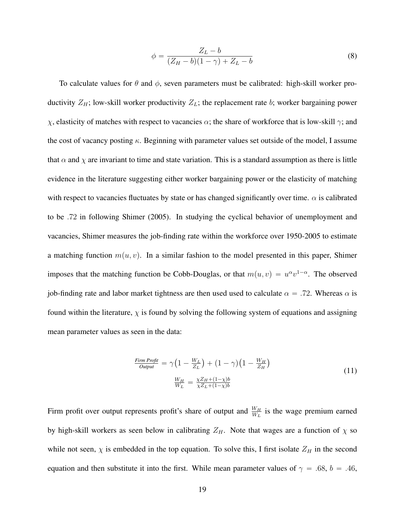$$
\phi = \frac{Z_L - b}{(Z_H - b)(1 - \gamma) + Z_L - b} \tag{8}
$$

To calculate values for  $\theta$  and  $\phi$ , seven parameters must be calibrated: high-skill worker productivity  $Z_H$ ; low-skill worker productivity  $Z_L$ ; the replacement rate b; worker bargaining power  $χ$ , elasticity of matches with respect to vacancies  $α$ ; the share of workforce that is low-skill  $γ$ ; and the cost of vacancy posting  $\kappa$ . Beginning with parameter values set outside of the model, I assume that  $\alpha$  and  $\chi$  are invariant to time and state variation. This is a standard assumption as there is little evidence in the literature suggesting either worker bargaining power or the elasticity of matching with respect to vacancies fluctuates by state or has changed significantly over time.  $\alpha$  is calibrated to be .72 in following Shimer (2005). In studying the cyclical behavior of unemployment and vacancies, Shimer measures the job-finding rate within the workforce over 1950-2005 to estimate a matching function  $m(u, v)$ . In a similar fashion to the model presented in this paper, Shimer imposes that the matching function be Cobb-Douglas, or that  $m(u, v) = u^{\alpha}v^{1-\alpha}$ . The observed job-finding rate and labor market tightness are then used used to calculate  $\alpha = .72$ . Whereas  $\alpha$  is found within the literature,  $\chi$  is found by solving the following system of equations and assigning mean parameter values as seen in the data:

$$
\frac{Firm\,Projit}{Output} = \gamma \Big( 1 - \frac{W_L}{Z_L} \Big) + \Big( 1 - \gamma \Big) \Big( 1 - \frac{W_H}{Z_H} \Big) \n\frac{W_H}{W_L} = \frac{\chi Z_H + (1 - \chi)b}{\chi Z_L + (1 - \chi)b}
$$
\n(11)

Firm profit over output represents profit's share of output and  $\frac{W_H}{W_L}$  is the wage premium earned by high-skill workers as seen below in calibrating  $Z_H$ . Note that wages are a function of  $\chi$  so while not seen,  $\chi$  is embedded in the top equation. To solve this, I first isolate  $Z_H$  in the second equation and then substitute it into the first. While mean parameter values of  $\gamma = .68$ ,  $b = .46$ ,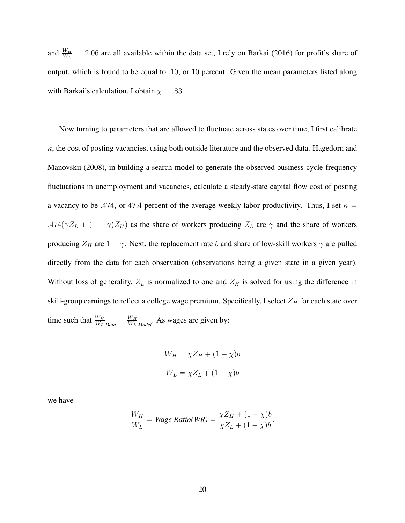and  $\frac{W_H}{W_L}$  = 2.06 are all available within the data set, I rely on Barkai (2016) for profit's share of output, which is found to be equal to .10, or 10 percent. Given the mean parameters listed along with Barkai's calculation, I obtain  $\chi = .83$ .

Now turning to parameters that are allowed to fluctuate across states over time, I first calibrate  $\kappa$ , the cost of posting vacancies, using both outside literature and the observed data. Hagedorn and Manovskii (2008), in building a search-model to generate the observed business-cycle-frequency fluctuations in unemployment and vacancies, calculate a steady-state capital flow cost of posting a vacancy to be .474, or 47.4 percent of the average weekly labor productivity. Thus, I set  $\kappa$  = .474 $(\gamma Z_L + (1 - \gamma)Z_H)$  as the share of workers producing  $Z_L$  are  $\gamma$  and the share of workers producing  $Z_H$  are  $1 - \gamma$ . Next, the replacement rate b and share of low-skill workers  $\gamma$  are pulled directly from the data for each observation (observations being a given state in a given year). Without loss of generality,  $Z_L$  is normalized to one and  $Z_H$  is solved for using the difference in skill-group earnings to reflect a college wage premium. Specifically, I select  $Z_H$  for each state over time such that  $\frac{W_H}{W_L}_{Data} = \frac{W_H}{W_L}$  $\frac{W_H}{W_L}$ <sub>*Model*</sub>. As wages are given by:

$$
W_H = \chi Z_H + (1 - \chi)b
$$
  

$$
W_L = \chi Z_L + (1 - \chi)b
$$

we have

$$
\frac{W_H}{W_L} = \text{Wage Ratio}(WR) = \frac{\chi Z_H + (1 - \chi)b}{\chi Z_L + (1 - \chi)b}.
$$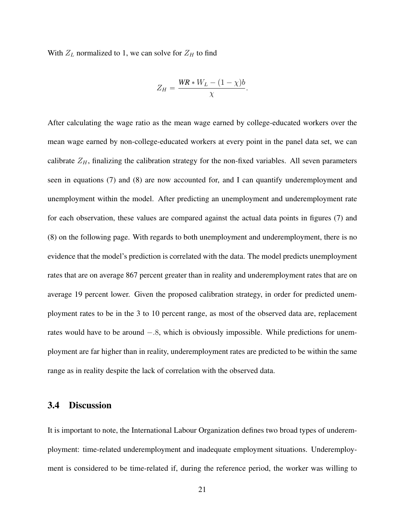With  $Z_L$  normalized to 1, we can solve for  $Z_H$  to find

$$
Z_H = \frac{WR * W_L - (1 - \chi)b}{\chi}.
$$

After calculating the wage ratio as the mean wage earned by college-educated workers over the mean wage earned by non-college-educated workers at every point in the panel data set, we can calibrate  $Z_H$ , finalizing the calibration strategy for the non-fixed variables. All seven parameters seen in equations (7) and (8) are now accounted for, and I can quantify underemployment and unemployment within the model. After predicting an unemployment and underemployment rate for each observation, these values are compared against the actual data points in figures (7) and (8) on the following page. With regards to both unemployment and underemployment, there is no evidence that the model's prediction is correlated with the data. The model predicts unemployment rates that are on average 867 percent greater than in reality and underemployment rates that are on average 19 percent lower. Given the proposed calibration strategy, in order for predicted unemployment rates to be in the 3 to 10 percent range, as most of the observed data are, replacement rates would have to be around  $-.8$ , which is obviously impossible. While predictions for unemployment are far higher than in reality, underemployment rates are predicted to be within the same range as in reality despite the lack of correlation with the observed data.

### 3.4 Discussion

It is important to note, the International Labour Organization defines two broad types of underemployment: time-related underemployment and inadequate employment situations. Underemployment is considered to be time-related if, during the reference period, the worker was willing to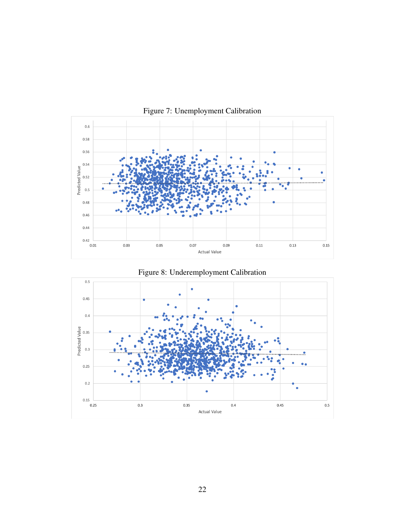



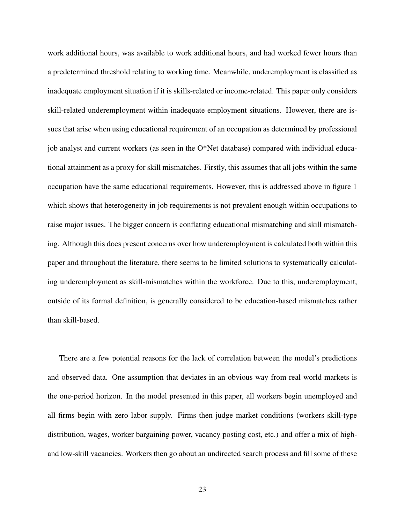work additional hours, was available to work additional hours, and had worked fewer hours than a predetermined threshold relating to working time. Meanwhile, underemployment is classified as inadequate employment situation if it is skills-related or income-related. This paper only considers skill-related underemployment within inadequate employment situations. However, there are issues that arise when using educational requirement of an occupation as determined by professional job analyst and current workers (as seen in the O\*Net database) compared with individual educational attainment as a proxy for skill mismatches. Firstly, this assumes that all jobs within the same occupation have the same educational requirements. However, this is addressed above in figure 1 which shows that heterogeneity in job requirements is not prevalent enough within occupations to raise major issues. The bigger concern is conflating educational mismatching and skill mismatching. Although this does present concerns over how underemployment is calculated both within this paper and throughout the literature, there seems to be limited solutions to systematically calculating underemployment as skill-mismatches within the workforce. Due to this, underemployment, outside of its formal definition, is generally considered to be education-based mismatches rather than skill-based.

There are a few potential reasons for the lack of correlation between the model's predictions and observed data. One assumption that deviates in an obvious way from real world markets is the one-period horizon. In the model presented in this paper, all workers begin unemployed and all firms begin with zero labor supply. Firms then judge market conditions (workers skill-type distribution, wages, worker bargaining power, vacancy posting cost, etc.) and offer a mix of highand low-skill vacancies. Workers then go about an undirected search process and fill some of these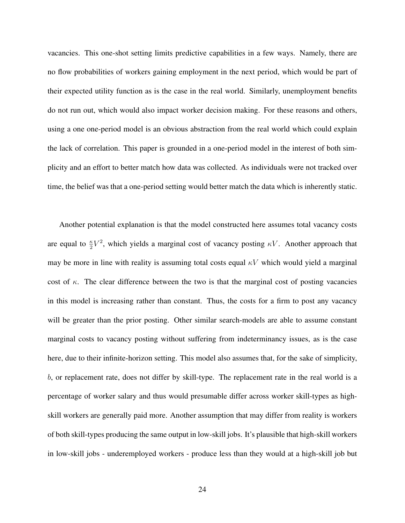vacancies. This one-shot setting limits predictive capabilities in a few ways. Namely, there are no flow probabilities of workers gaining employment in the next period, which would be part of their expected utility function as is the case in the real world. Similarly, unemployment benefits do not run out, which would also impact worker decision making. For these reasons and others, using a one one-period model is an obvious abstraction from the real world which could explain the lack of correlation. This paper is grounded in a one-period model in the interest of both simplicity and an effort to better match how data was collected. As individuals were not tracked over time, the belief was that a one-period setting would better match the data which is inherently static.

Another potential explanation is that the model constructed here assumes total vacancy costs are equal to  $\frac{\kappa}{2}V^2$ , which yields a marginal cost of vacancy posting  $\kappa V$ . Another approach that may be more in line with reality is assuming total costs equal  $\kappa V$  which would yield a marginal cost of  $\kappa$ . The clear difference between the two is that the marginal cost of posting vacancies in this model is increasing rather than constant. Thus, the costs for a firm to post any vacancy will be greater than the prior posting. Other similar search-models are able to assume constant marginal costs to vacancy posting without suffering from indeterminancy issues, as is the case here, due to their infinite-horizon setting. This model also assumes that, for the sake of simplicity, b, or replacement rate, does not differ by skill-type. The replacement rate in the real world is a percentage of worker salary and thus would presumable differ across worker skill-types as highskill workers are generally paid more. Another assumption that may differ from reality is workers of both skill-types producing the same output in low-skill jobs. It's plausible that high-skill workers in low-skill jobs - underemployed workers - produce less than they would at a high-skill job but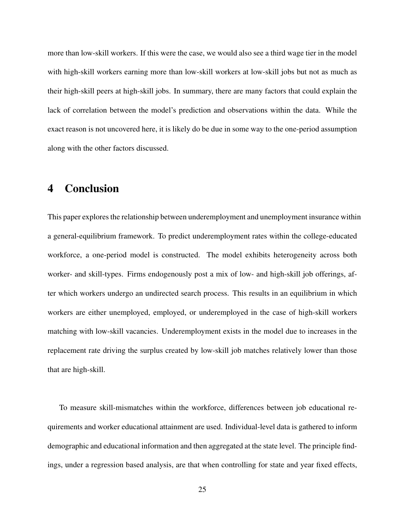more than low-skill workers. If this were the case, we would also see a third wage tier in the model with high-skill workers earning more than low-skill workers at low-skill jobs but not as much as their high-skill peers at high-skill jobs. In summary, there are many factors that could explain the lack of correlation between the model's prediction and observations within the data. While the exact reason is not uncovered here, it is likely do be due in some way to the one-period assumption along with the other factors discussed.

## 4 Conclusion

This paper explores the relationship between underemployment and unemployment insurance within a general-equilibrium framework. To predict underemployment rates within the college-educated workforce, a one-period model is constructed. The model exhibits heterogeneity across both worker- and skill-types. Firms endogenously post a mix of low- and high-skill job offerings, after which workers undergo an undirected search process. This results in an equilibrium in which workers are either unemployed, employed, or underemployed in the case of high-skill workers matching with low-skill vacancies. Underemployment exists in the model due to increases in the replacement rate driving the surplus created by low-skill job matches relatively lower than those that are high-skill.

To measure skill-mismatches within the workforce, differences between job educational requirements and worker educational attainment are used. Individual-level data is gathered to inform demographic and educational information and then aggregated at the state level. The principle findings, under a regression based analysis, are that when controlling for state and year fixed effects,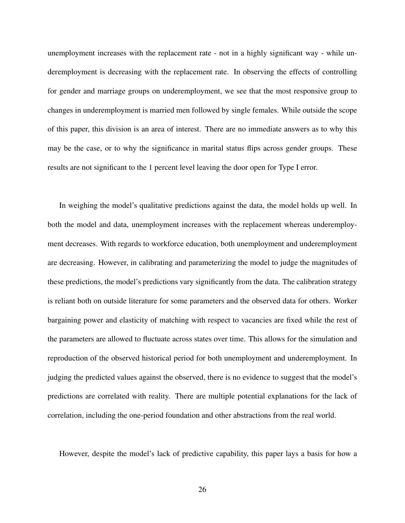unemployment increases with the replacement rate - not in a highly significant way - while underemployment is decreasing with the replacement rate. In observing the effects of controlling for gender and marriage groups on underemployment, we see that the most responsive group to changes in underemployment is married men followed by single females. While outside the scope of this paper, this division is an area of interest. There are no immediate answers as to why this may be the case, or to why the significance in marital status flips across gender groups. These results are not significant to the 1 percent level leaving the door open for Type I error.

In weighing the model's qualitative predictions against the data, the model holds up well. In both the model and data, unemployment increases with the replacement whereas underemployment decreases. With regards to workforce education, both unemployment and underemployment are decreasing. However, in calibrating and parameterizing the model to judge the magnitudes of these predictions, the model's predictions vary significantly from the data. The calibration strategy is reliant both on outside literature for some parameters and the observed data for others. Worker bargaining power and elasticity of matching with respect to vacancies are fixed while the rest of the parameters are allowed to fluctuate across states over time. This allows for the simulation and reproduction of the observed historical period for both unemployment and underemployment. In judging the predicted values against the observed, there is no evidence to suggest that the model's predictions are correlated with reality. There are multiple potential explanations for the lack of correlation, including the one-period foundation and other abstractions from the real world.

However, despite the model's lack of predictive capability, this paper lays a basis for how a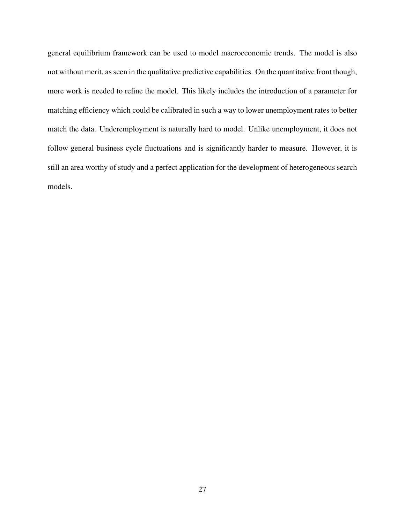general equilibrium framework can be used to model macroeconomic trends. The model is also not without merit, as seen in the qualitative predictive capabilities. On the quantitative front though, more work is needed to refine the model. This likely includes the introduction of a parameter for matching efficiency which could be calibrated in such a way to lower unemployment rates to better match the data. Underemployment is naturally hard to model. Unlike unemployment, it does not follow general business cycle fluctuations and is significantly harder to measure. However, it is still an area worthy of study and a perfect application for the development of heterogeneous search models.